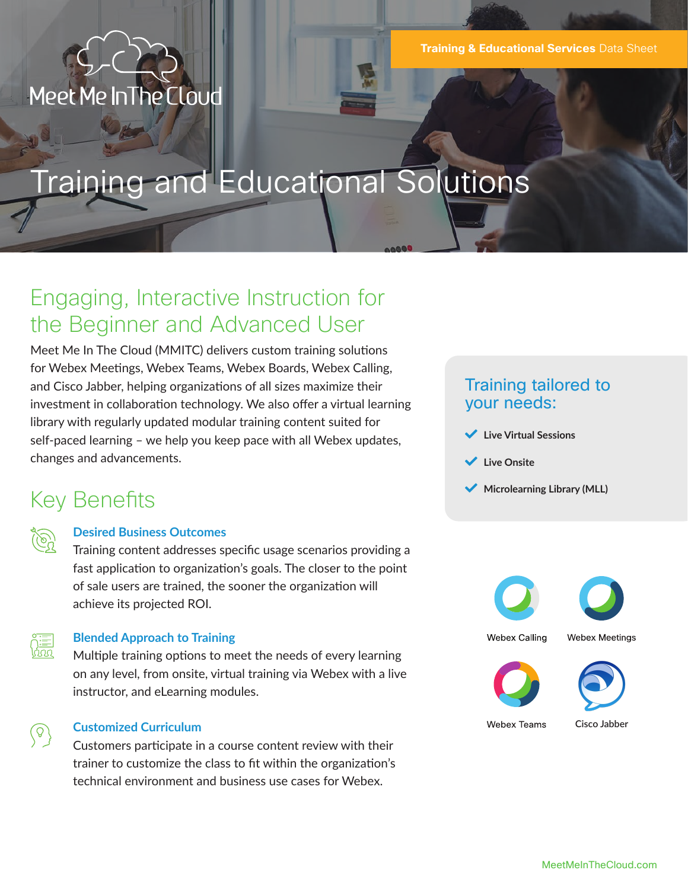## Meet Me In The Cloud

# Training and Educational Solutions

### Engaging, Interactive Instruction for the Beginner and Advanced User

Meet Me In The Cloud (MMITC) delivers custom training solutions for Webex Meetings, Webex Teams, Webex Boards, Webex Calling, and Cisco Jabber, helping organizations of all sizes maximize their investment in collaboration technology. We also offer a virtual learning library with regularly updated modular training content suited for self-paced learning – we help you keep pace with all Webex updates, changes and advancements.

### Training tailored to your needs:

- **Live Virtual Sessions**
- **Live Onsite**
- **Microlearning Library (MLL)**

### Key Benefits

| . . |
|-----|

### **Desired Business Outcomes**

Training content addresses specific usage scenarios providing a fast application to organization's goals. The closer to the point of sale users are trained, the sooner the organization will achieve its projected ROI.



 $\begin{pmatrix} 0 \end{pmatrix}$ 

#### **Blended Approach to Training**

Multiple training options to meet the needs of every learning on any level, from onsite, virtual training via Webex with a live instructor, and eLearning modules.

#### **Customized Curriculum**

Customers participate in a course content review with their trainer to customize the class to fit within the organization's technical environment and business use cases for Webex.



**Webex Calling** 

**Webex Meetings** 





**Webex Teams** 

**Cisco Jabber**